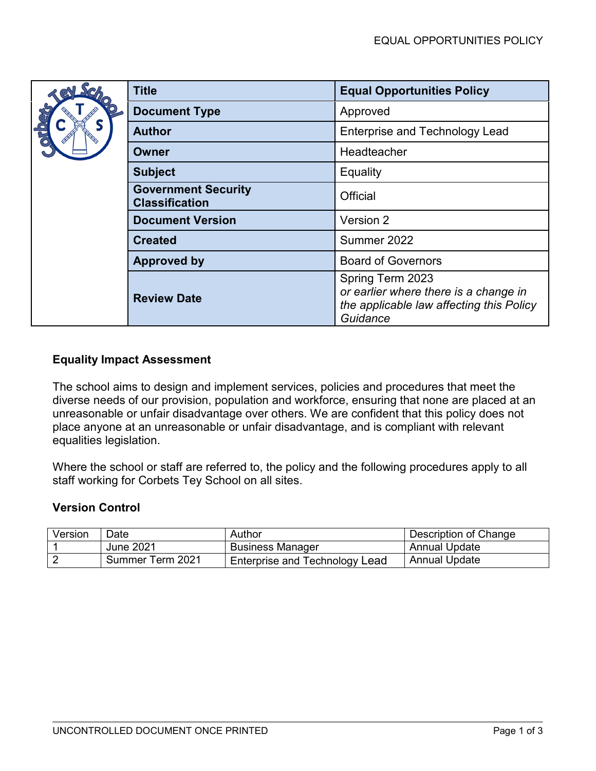|  | <b>Title</b>                                        | <b>Equal Opportunities Policy</b>                                                                                 |  |
|--|-----------------------------------------------------|-------------------------------------------------------------------------------------------------------------------|--|
|  | <b>Document Type</b>                                | Approved                                                                                                          |  |
|  | <b>Author</b>                                       | <b>Enterprise and Technology Lead</b>                                                                             |  |
|  | Owner                                               | Headteacher                                                                                                       |  |
|  | <b>Subject</b>                                      | Equality                                                                                                          |  |
|  | <b>Government Security</b><br><b>Classification</b> | Official                                                                                                          |  |
|  | <b>Document Version</b>                             | Version 2                                                                                                         |  |
|  | <b>Created</b>                                      | Summer 2022                                                                                                       |  |
|  | <b>Approved by</b>                                  | <b>Board of Governors</b>                                                                                         |  |
|  | <b>Review Date</b>                                  | Spring Term 2023<br>or earlier where there is a change in<br>the applicable law affecting this Policy<br>Guidance |  |

# **Equality Impact Assessment**

The school aims to design and implement services, policies and procedures that meet the diverse needs of our provision, population and workforce, ensuring that none are placed at an unreasonable or unfair disadvantage over others. We are confident that this policy does not place anyone at an unreasonable or unfair disadvantage, and is compliant with relevant equalities legislation.

Where the school or staff are referred to, the policy and the following procedures apply to all staff working for Corbets Tey School on all sites.

## **Version Control**

| Version | Date             | Author                         | Description of Change |
|---------|------------------|--------------------------------|-----------------------|
|         | June 2021        | <b>Business Manager</b>        | Annual Update         |
|         | Summer Term 2021 | Enterprise and Technology Lead | <b>Annual Update</b>  |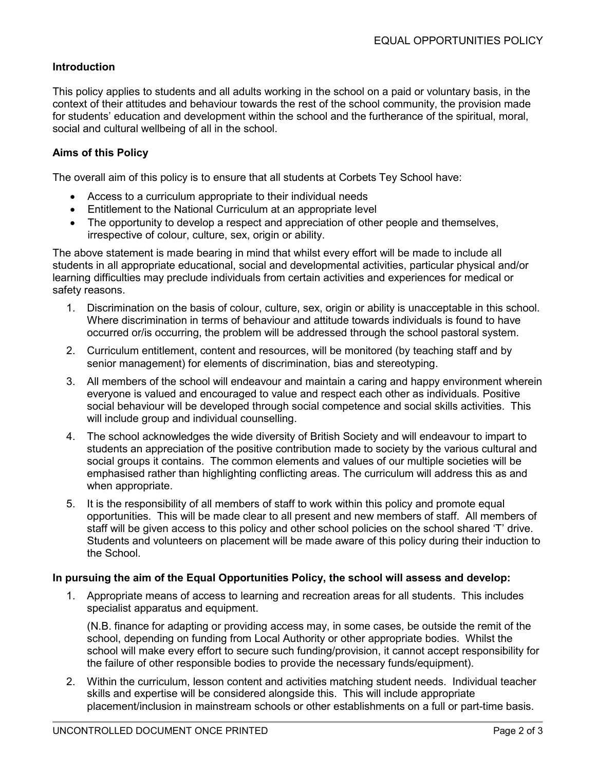### **Introduction**

This policy applies to students and all adults working in the school on a paid or voluntary basis, in the context of their attitudes and behaviour towards the rest of the school community, the provision made for students' education and development within the school and the furtherance of the spiritual, moral, social and cultural wellbeing of all in the school.

### **Aims of this Policy**

The overall aim of this policy is to ensure that all students at Corbets Tey School have:

- Access to a curriculum appropriate to their individual needs
- Entitlement to the National Curriculum at an appropriate level
- The opportunity to develop a respect and appreciation of other people and themselves, irrespective of colour, culture, sex, origin or ability.

The above statement is made bearing in mind that whilst every effort will be made to include all students in all appropriate educational, social and developmental activities, particular physical and/or learning difficulties may preclude individuals from certain activities and experiences for medical or safety reasons.

- 1. Discrimination on the basis of colour, culture, sex, origin or ability is unacceptable in this school. Where discrimination in terms of behaviour and attitude towards individuals is found to have occurred or/is occurring, the problem will be addressed through the school pastoral system.
- 2. Curriculum entitlement, content and resources, will be monitored (by teaching staff and by senior management) for elements of discrimination, bias and stereotyping.
- 3. All members of the school will endeavour and maintain a caring and happy environment wherein everyone is valued and encouraged to value and respect each other as individuals. Positive social behaviour will be developed through social competence and social skills activities. This will include group and individual counselling.
- 4. The school acknowledges the wide diversity of British Society and will endeavour to impart to students an appreciation of the positive contribution made to society by the various cultural and social groups it contains. The common elements and values of our multiple societies will be emphasised rather than highlighting conflicting areas. The curriculum will address this as and when appropriate.
- 5. It is the responsibility of all members of staff to work within this policy and promote equal opportunities. This will be made clear to all present and new members of staff. All members of staff will be given access to this policy and other school policies on the school shared 'T' drive. Students and volunteers on placement will be made aware of this policy during their induction to the School.

#### **In pursuing the aim of the Equal Opportunities Policy, the school will assess and develop:**

1. Appropriate means of access to learning and recreation areas for all students. This includes specialist apparatus and equipment.

(N.B. finance for adapting or providing access may, in some cases, be outside the remit of the school, depending on funding from Local Authority or other appropriate bodies. Whilst the school will make every effort to secure such funding/provision, it cannot accept responsibility for the failure of other responsible bodies to provide the necessary funds/equipment).

2. Within the curriculum, lesson content and activities matching student needs. Individual teacher skills and expertise will be considered alongside this. This will include appropriate placement/inclusion in mainstream schools or other establishments on a full or part-time basis.